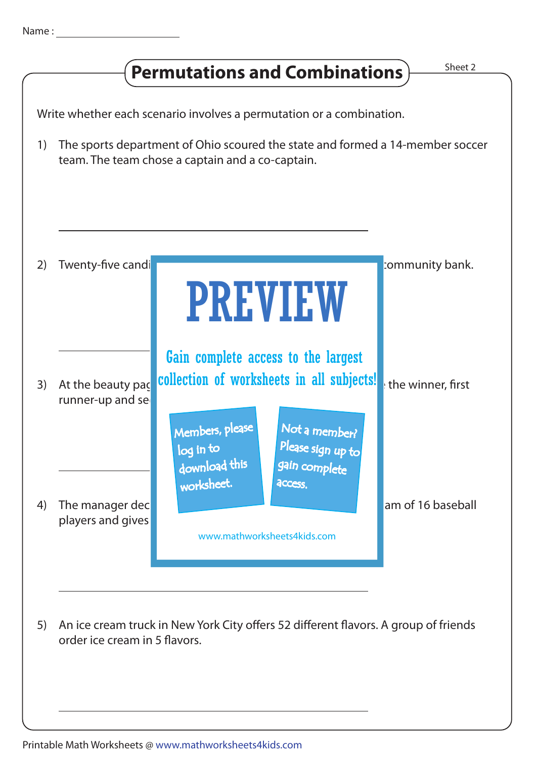## **Permutations and Combinations**  $\frac{\text{Sheet 2}}{\text{Bheet 2}}$

Write whether each scenario involves a permutation or a combination.

1) The sports department of Ohio scoured the state and formed a 14-member soccer team. The team chose a captain and a co-captain.



Printable Math Worksheets @ www.mathworksheets4kids.com